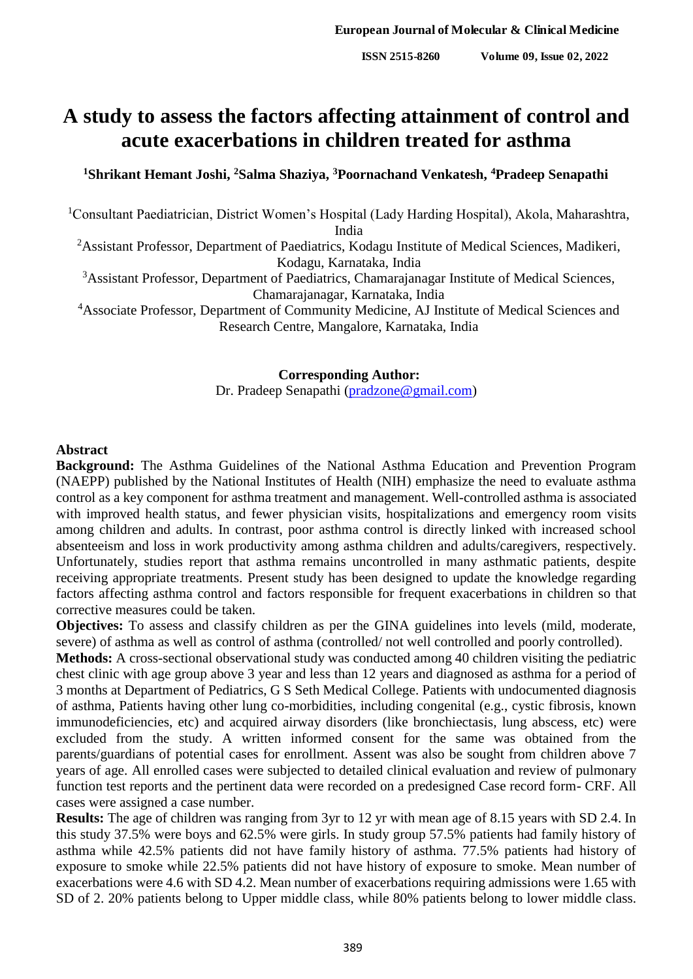# **A study to assess the factors affecting attainment of control and acute exacerbations in children treated for asthma**

## **<sup>1</sup>Shrikant Hemant Joshi, <sup>2</sup>Salma Shaziya, <sup>3</sup>Poornachand Venkatesh, <sup>4</sup>Pradeep Senapathi**

<sup>1</sup>Consultant Paediatrician, District Women's Hospital (Lady Harding Hospital), Akola, Maharashtra, India

<sup>2</sup>Assistant Professor, Department of Paediatrics, Kodagu Institute of Medical Sciences, Madikeri, Kodagu, Karnataka, India

<sup>3</sup>Assistant Professor, Department of Paediatrics, Chamarajanagar Institute of Medical Sciences, Chamarajanagar, Karnataka, India

<sup>4</sup>Associate Professor, Department of Community Medicine, AJ Institute of Medical Sciences and Research Centre, Mangalore, Karnataka, India

> **Corresponding Author:** Dr. Pradeep Senapathi [\(pradzone@gmail.com\)](mailto:pradzone@gmail.com)

#### **Abstract**

**Background:** The Asthma Guidelines of the National Asthma Education and Prevention Program (NAEPP) published by the National Institutes of Health (NIH) emphasize the need to evaluate asthma control as a key component for asthma treatment and management. Well-controlled asthma is associated with improved health status, and fewer physician visits, hospitalizations and emergency room visits among children and adults. In contrast, poor asthma control is directly linked with increased school absenteeism and loss in work productivity among asthma children and adults/caregivers, respectively. Unfortunately, studies report that asthma remains uncontrolled in many asthmatic patients, despite receiving appropriate treatments. Present study has been designed to update the knowledge regarding factors affecting asthma control and factors responsible for frequent exacerbations in children so that corrective measures could be taken.

**Objectives:** To assess and classify children as per the GINA guidelines into levels (mild, moderate, severe) of asthma as well as control of asthma (controlled/ not well controlled and poorly controlled).

**Methods:** A cross-sectional observational study was conducted among 40 children visiting the pediatric chest clinic with age group above 3 year and less than 12 years and diagnosed as asthma for a period of 3 months at Department of Pediatrics, G S Seth Medical College. Patients with undocumented diagnosis of asthma, Patients having other lung co-morbidities, including congenital (e.g., cystic fibrosis, known immunodeficiencies, etc) and acquired airway disorders (like bronchiectasis, lung abscess, etc) were excluded from the study. A written informed consent for the same was obtained from the parents/guardians of potential cases for enrollment. Assent was also be sought from children above 7 years of age. All enrolled cases were subjected to detailed clinical evaluation and review of pulmonary function test reports and the pertinent data were recorded on a predesigned Case record form- CRF. All cases were assigned a case number.

**Results:** The age of children was ranging from 3yr to 12 yr with mean age of 8.15 years with SD 2.4. In this study 37.5% were boys and 62.5% were girls. In study group 57.5% patients had family history of asthma while 42.5% patients did not have family history of asthma. 77.5% patients had history of exposure to smoke while 22.5% patients did not have history of exposure to smoke. Mean number of exacerbations were 4.6 with SD 4.2. Mean number of exacerbations requiring admissions were 1.65 with SD of 2. 20% patients belong to Upper middle class, while 80% patients belong to lower middle class.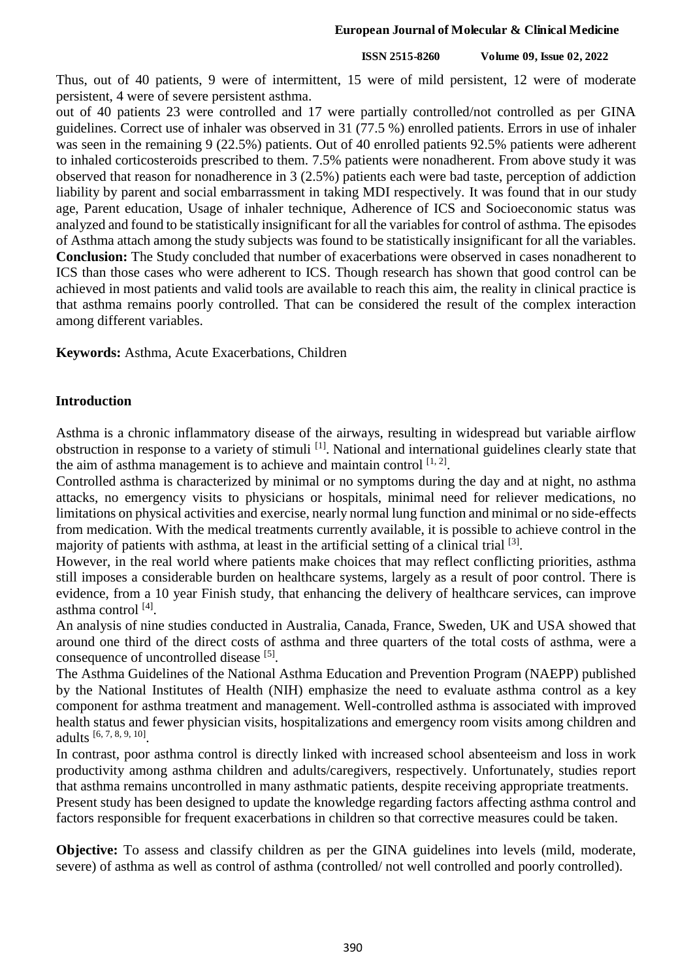#### **ISSN 2515-8260 Volume 09, Issue 02, 2022**

Thus, out of 40 patients, 9 were of intermittent, 15 were of mild persistent, 12 were of moderate persistent, 4 were of severe persistent asthma.

out of 40 patients 23 were controlled and 17 were partially controlled/not controlled as per GINA guidelines. Correct use of inhaler was observed in 31 (77.5 %) enrolled patients. Errors in use of inhaler was seen in the remaining 9 (22.5%) patients. Out of 40 enrolled patients 92.5% patients were adherent to inhaled corticosteroids prescribed to them. 7.5% patients were nonadherent. From above study it was observed that reason for nonadherence in 3 (2.5%) patients each were bad taste, perception of addiction liability by parent and social embarrassment in taking MDI respectively. It was found that in our study age, Parent education, Usage of inhaler technique, Adherence of ICS and Socioeconomic status was analyzed and found to be statistically insignificant for all the variables for control of asthma. The episodes of Asthma attach among the study subjects was found to be statistically insignificant for all the variables. **Conclusion:** The Study concluded that number of exacerbations were observed in cases nonadherent to ICS than those cases who were adherent to ICS. Though research has shown that good control can be achieved in most patients and valid tools are available to reach this aim, the reality in clinical practice is that asthma remains poorly controlled. That can be considered the result of the complex interaction among different variables.

**Keywords:** Asthma, Acute Exacerbations, Children

## **Introduction**

Asthma is a chronic inflammatory disease of the airways, resulting in widespread but variable airflow obstruction in response to a variety of stimuli<sup>[1]</sup>. National and international guidelines clearly state that the aim of asthma management is to achieve and maintain control  $[1, 2]$ .

Controlled asthma is characterized by minimal or no symptoms during the day and at night, no asthma attacks, no emergency visits to physicians or hospitals, minimal need for reliever medications, no limitations on physical activities and exercise, nearly normal lung function and minimal or no side-effects from medication. With the medical treatments currently available, it is possible to achieve control in the majority of patients with asthma, at least in the artificial setting of a clinical trial [3].

However, in the real world where patients make choices that may reflect conflicting priorities, asthma still imposes a considerable burden on healthcare systems, largely as a result of poor control. There is evidence, from a 10 year Finish study, that enhancing the delivery of healthcare services, can improve asthma control [4].

An analysis of nine studies conducted in Australia, Canada, France, Sweden, UK and USA showed that around one third of the direct costs of asthma and three quarters of the total costs of asthma, were a consequence of uncontrolled disease [5].

The Asthma Guidelines of the National Asthma Education and Prevention Program (NAEPP) published by the National Institutes of Health (NIH) emphasize the need to evaluate asthma control as a key component for asthma treatment and management. Well-controlled asthma is associated with improved health status and fewer physician visits, hospitalizations and emergency room visits among children and adults [6, 7, 8, 9, 10] .

In contrast, poor asthma control is directly linked with increased school absenteeism and loss in work productivity among asthma children and adults/caregivers, respectively. Unfortunately, studies report that asthma remains uncontrolled in many asthmatic patients, despite receiving appropriate treatments. Present study has been designed to update the knowledge regarding factors affecting asthma control and factors responsible for frequent exacerbations in children so that corrective measures could be taken.

**Objective:** To assess and classify children as per the GINA guidelines into levels (mild, moderate, severe) of asthma as well as control of asthma (controlled/ not well controlled and poorly controlled).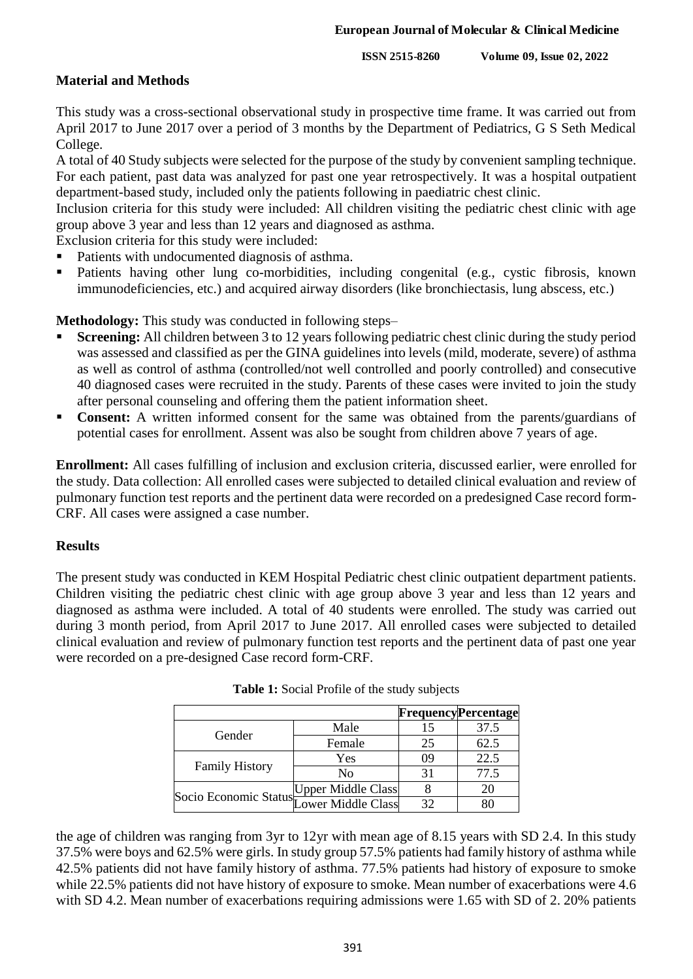**ISSN 2515-8260 Volume 09, Issue 02, 2022**

## **Material and Methods**

This study was a cross-sectional observational study in prospective time frame. It was carried out from April 2017 to June 2017 over a period of 3 months by the Department of Pediatrics, G S Seth Medical College.

A total of 40 Study subjects were selected for the purpose of the study by convenient sampling technique. For each patient, past data was analyzed for past one year retrospectively. It was a hospital outpatient department-based study, included only the patients following in paediatric chest clinic.

Inclusion criteria for this study were included: All children visiting the pediatric chest clinic with age group above 3 year and less than 12 years and diagnosed as asthma.

Exclusion criteria for this study were included:

- Patients with undocumented diagnosis of asthma.
- Patients having other lung co-morbidities, including congenital (e.g., cystic fibrosis, known immunodeficiencies, etc.) and acquired airway disorders (like bronchiectasis, lung abscess, etc.)

**Methodology:** This study was conducted in following steps–

- **Screening:** All children between 3 to 12 years following pediatric chest clinic during the study period was assessed and classified as per the GINA guidelines into levels (mild, moderate, severe) of asthma as well as control of asthma (controlled/not well controlled and poorly controlled) and consecutive 40 diagnosed cases were recruited in the study. Parents of these cases were invited to join the study after personal counseling and offering them the patient information sheet.
- **Consent:** A written informed consent for the same was obtained from the parents/guardians of potential cases for enrollment. Assent was also be sought from children above 7 years of age.

**Enrollment:** All cases fulfilling of inclusion and exclusion criteria, discussed earlier, were enrolled for the study. Data collection: All enrolled cases were subjected to detailed clinical evaluation and review of pulmonary function test reports and the pertinent data were recorded on a predesigned Case record form-CRF. All cases were assigned a case number.

#### **Results**

The present study was conducted in KEM Hospital Pediatric chest clinic outpatient department patients. Children visiting the pediatric chest clinic with age group above 3 year and less than 12 years and diagnosed as asthma were included. A total of 40 students were enrolled. The study was carried out during 3 month period, from April 2017 to June 2017. All enrolled cases were subjected to detailed clinical evaluation and review of pulmonary function test reports and the pertinent data of past one year were recorded on a pre-designed Case record form-CRF.

|                                          |                           |    | <b>Frequency</b> Percentage |
|------------------------------------------|---------------------------|----|-----------------------------|
| Gender                                   | Male                      |    | 37.5                        |
|                                          | Female                    | 25 | 62.5                        |
| <b>Family History</b>                    | Yes                       | 09 | 22.5                        |
|                                          | No                        | 31 | 77.5                        |
| Socio Economic Status Tower Middle Class | <b>Upper Middle Class</b> |    |                             |
|                                          |                           | 32 |                             |

| <b>Table 1:</b> Social Profile of the study subjects |  |  |  |
|------------------------------------------------------|--|--|--|
|------------------------------------------------------|--|--|--|

the age of children was ranging from 3yr to 12yr with mean age of 8.15 years with SD 2.4. In this study 37.5% were boys and 62.5% were girls. In study group 57.5% patients had family history of asthma while 42.5% patients did not have family history of asthma. 77.5% patients had history of exposure to smoke while 22.5% patients did not have history of exposure to smoke. Mean number of exacerbations were 4.6 with SD 4.2. Mean number of exacerbations requiring admissions were 1.65 with SD of 2. 20% patients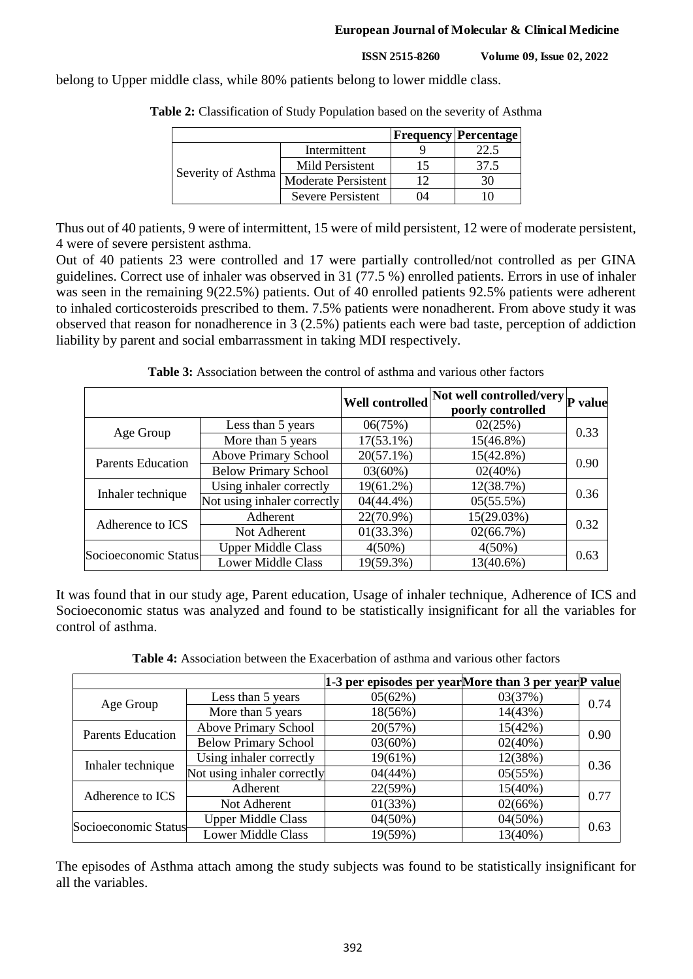**ISSN 2515-8260 Volume 09, Issue 02, 2022**

belong to Upper middle class, while 80% patients belong to lower middle class.

|                    |                          |    | <b>Frequency Percentage</b> |
|--------------------|--------------------------|----|-----------------------------|
| Severity of Asthma | Intermittent             |    |                             |
|                    | Mild Persistent          |    | 37.5                        |
|                    | Moderate Persistent      |    |                             |
|                    | <b>Severe Persistent</b> | 14 |                             |

**Table 2:** Classification of Study Population based on the severity of Asthma

Thus out of 40 patients, 9 were of intermittent, 15 were of mild persistent, 12 were of moderate persistent, 4 were of severe persistent asthma.

Out of 40 patients 23 were controlled and 17 were partially controlled/not controlled as per GINA guidelines. Correct use of inhaler was observed in 31 (77.5 %) enrolled patients. Errors in use of inhaler was seen in the remaining 9(22.5%) patients. Out of 40 enrolled patients 92.5% patients were adherent to inhaled corticosteroids prescribed to them. 7.5% patients were nonadherent. From above study it was observed that reason for nonadherence in 3 (2.5%) patients each were bad taste, perception of addiction liability by parent and social embarrassment in taking MDI respectively.

**Table 3:** Association between the control of asthma and various other factors

|                          |                             | <b>Well controlled</b> | Not well controlled/very P value<br>poorly controlled |      |
|--------------------------|-----------------------------|------------------------|-------------------------------------------------------|------|
| Age Group                | Less than 5 years           | 06(75%)                | 02(25%)                                               | 0.33 |
|                          | More than 5 years           | $17(53.1\%)$           | 15(46.8%)                                             |      |
| <b>Parents Education</b> | Above Primary School        | $20(57.1\%)$           | 15(42.8%)                                             | 0.90 |
|                          | <b>Below Primary School</b> | $03(60\%)$             | 02(40%)                                               |      |
| Inhaler technique        | Using inhaler correctly     | 19(61.2%)              | 12(38.7%)                                             | 0.36 |
|                          | Not using inhaler correctly | $04(44.4\%)$           | 05(55.5%)                                             |      |
| Adherence to ICS         | Adherent                    | 22(70.9%)              | 15(29.03%)                                            | 0.32 |
|                          | Not Adherent                | $01(33.3\%)$           | 02(66.7%)                                             |      |
| Socioeconomic Status     | <b>Upper Middle Class</b>   | $4(50\%)$              | $4(50\%)$                                             |      |
|                          | <b>Lower Middle Class</b>   | 19(59.3%)              | 13(40.6%)                                             | 0.63 |

It was found that in our study age, Parent education, Usage of inhaler technique, Adherence of ICS and Socioeconomic status was analyzed and found to be statistically insignificant for all the variables for control of asthma.

**Table 4:** Association between the Exacerbation of asthma and various other factors

|                          |                             | 1-3 per episodes per yearMore than 3 per yearP value |         |      |
|--------------------------|-----------------------------|------------------------------------------------------|---------|------|
| Age Group                | Less than 5 years           | 05(62%)                                              | 03(37%) | 0.74 |
|                          | More than 5 years           | 18(56%)                                              | 14(43%) |      |
| <b>Parents Education</b> | <b>Above Primary School</b> | 20(57%)                                              | 15(42%) | 0.90 |
|                          | <b>Below Primary School</b> | $03(60\%)$                                           | 02(40%) |      |
| Inhaler technique        | Using inhaler correctly     | 19(61%)                                              | 12(38%) | 0.36 |
|                          | Not using inhaler correctly | 04(44%)                                              | 05(55%) |      |
| Adherence to ICS         | Adherent                    | 22(59%)                                              | 15(40%) | 0.77 |
|                          | Not Adherent                | 01(33%)                                              | 02(66%) |      |
| Socioeconomic Status     | <b>Upper Middle Class</b>   | $04(50\%)$                                           | 04(50%) |      |
|                          | <b>Lower Middle Class</b>   | 19(59%)                                              | 13(40%) | 0.63 |

The episodes of Asthma attach among the study subjects was found to be statistically insignificant for all the variables.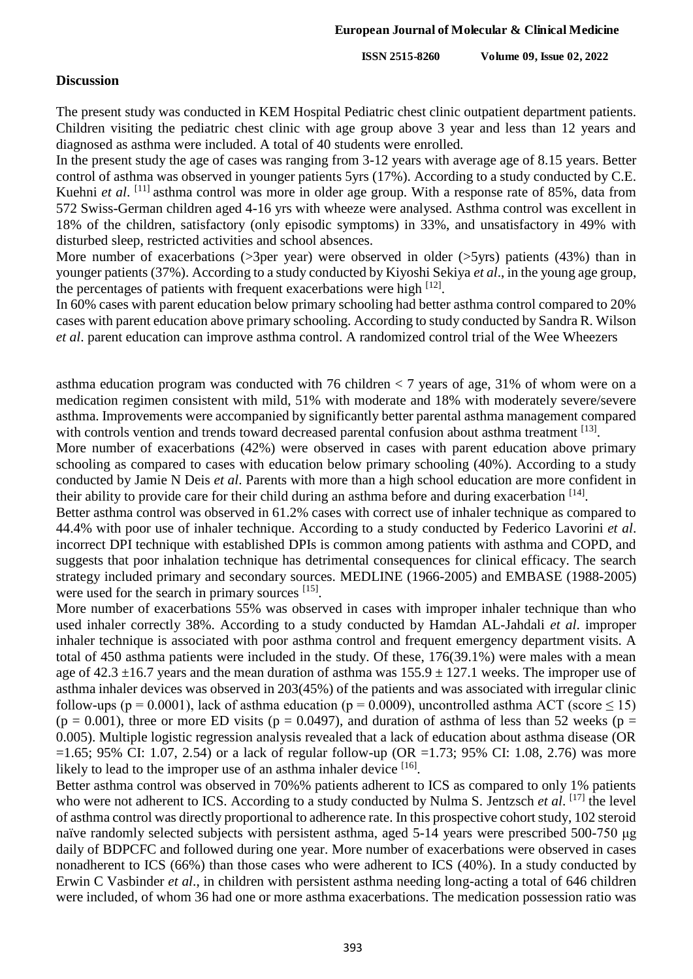**ISSN 2515-8260 Volume 09, Issue 02, 2022**

#### **Discussion**

The present study was conducted in KEM Hospital Pediatric chest clinic outpatient department patients. Children visiting the pediatric chest clinic with age group above 3 year and less than 12 years and diagnosed as asthma were included. A total of 40 students were enrolled.

In the present study the age of cases was ranging from 3-12 years with average age of 8.15 years. Better control of asthma was observed in younger patients 5yrs (17%). According to a study conducted by C.E. Kuehni *et al.* [11] asthma control was more in older age group. With a response rate of 85%, data from 572 Swiss-German children aged 4-16 yrs with wheeze were analysed. Asthma control was excellent in 18% of the children, satisfactory (only episodic symptoms) in 33%, and unsatisfactory in 49% with disturbed sleep, restricted activities and school absences.

More number of exacerbations ( $>3$ per year) were observed in older ( $>5$ yrs) patients (43%) than in younger patients (37%). According to a study conducted by Kiyoshi Sekiya *et al*., in the young age group, the percentages of patients with frequent exacerbations were high  $^{[12]}$ .

In 60% cases with parent education below primary schooling had better asthma control compared to 20% cases with parent education above primary schooling. According to study conducted by Sandra R. Wilson *et al*. parent education can improve asthma control. A randomized control trial of the Wee Wheezers

asthma education program was conducted with 76 children  $<$  7 years of age, 31% of whom were on a medication regimen consistent with mild, 51% with moderate and 18% with moderately severe/severe asthma. Improvements were accompanied by significantly better parental asthma management compared with controls vention and trends toward decreased parental confusion about asthma treatment [13].

More number of exacerbations (42%) were observed in cases with parent education above primary schooling as compared to cases with education below primary schooling (40%). According to a study conducted by Jamie N Deis *et al*. Parents with more than a high school education are more confident in their ability to provide care for their child during an asthma before and during exacerbation [14].

Better asthma control was observed in 61.2% cases with correct use of inhaler technique as compared to 44.4% with poor use of inhaler technique. According to a study conducted by Federico Lavorini *et al*. incorrect DPI technique with established DPIs is common among patients with asthma and COPD, and suggests that poor inhalation technique has detrimental consequences for clinical efficacy. The search strategy included primary and secondary sources. MEDLINE (1966-2005) and EMBASE (1988-2005) were used for the search in primary sources [15].

More number of exacerbations 55% was observed in cases with improper inhaler technique than who used inhaler correctly 38%. According to a study conducted by Hamdan AL-Jahdali *et al*. improper inhaler technique is associated with poor asthma control and frequent emergency department visits. A total of 450 asthma patients were included in the study. Of these, 176(39.1%) were males with a mean age of  $42.3 \pm 16.7$  years and the mean duration of asthma was  $155.9 \pm 127.1$  weeks. The improper use of asthma inhaler devices was observed in 203(45%) of the patients and was associated with irregular clinic follow-ups (p = 0.0001), lack of asthma education (p = 0.0009), uncontrolled asthma ACT (score  $\leq$  15) (p = 0.001), three or more ED visits (p = 0.0497), and duration of asthma of less than 52 weeks (p = 0.005). Multiple logistic regression analysis revealed that a lack of education about asthma disease (OR  $=1.65$ ; 95% CI: 1.07, 2.54) or a lack of regular follow-up (OR  $=1.73$ ; 95% CI: 1.08, 2.76) was more likely to lead to the improper use of an asthma inhaler device [16].

Better asthma control was observed in 70%% patients adherent to ICS as compared to only 1% patients who were not adherent to ICS. According to a study conducted by Nulma S. Jentzsch et al. [17] the level of asthma control was directly proportional to adherence rate. In this prospective cohort study, 102 steroid naïve randomly selected subjects with persistent asthma, aged 5-14 years were prescribed 500-750 μg daily of BDPCFC and followed during one year. More number of exacerbations were observed in cases nonadherent to ICS (66%) than those cases who were adherent to ICS (40%). In a study conducted by Erwin C Vasbinder *et al*., in children with persistent asthma needing long-acting a total of 646 children were included, of whom 36 had one or more asthma exacerbations. The medication possession ratio was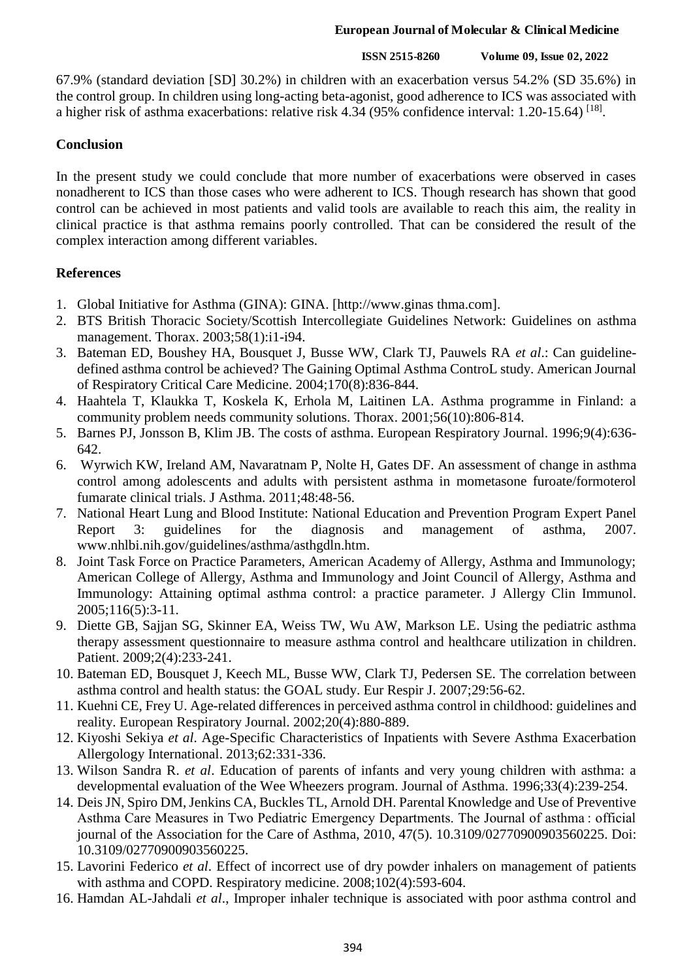#### **ISSN 2515-8260 Volume 09, Issue 02, 2022**

67.9% (standard deviation [SD] 30.2%) in children with an exacerbation versus 54.2% (SD 35.6%) in the control group. In children using long-acting beta-agonist, good adherence to ICS was associated with a higher risk of asthma exacerbations: relative risk 4.34 (95% confidence interval: 1.20-15.64) <sup>[18]</sup>.

# **Conclusion**

In the present study we could conclude that more number of exacerbations were observed in cases nonadherent to ICS than those cases who were adherent to ICS. Though research has shown that good control can be achieved in most patients and valid tools are available to reach this aim, the reality in clinical practice is that asthma remains poorly controlled. That can be considered the result of the complex interaction among different variables.

# **References**

- 1. Global Initiative for Asthma (GINA): GINA. [http://www.ginas thma.com].
- 2. BTS British Thoracic Society/Scottish Intercollegiate Guidelines Network: Guidelines on asthma management. Thorax. 2003;58(1):i1-i94.
- 3. Bateman ED, Boushey HA, Bousquet J, Busse WW, Clark TJ, Pauwels RA *et al*.: Can guidelinedefined asthma control be achieved? The Gaining Optimal Asthma ControL study. American Journal of Respiratory Critical Care Medicine. 2004;170(8):836-844.
- 4. Haahtela T, Klaukka T, Koskela K, Erhola M, Laitinen LA. Asthma programme in Finland: a community problem needs community solutions. Thorax. 2001;56(10):806-814.
- 5. Barnes PJ, Jonsson B, Klim JB. The costs of asthma. European Respiratory Journal. 1996;9(4):636- 642.
- 6. Wyrwich KW, Ireland AM, Navaratnam P, Nolte H, Gates DF. An assessment of change in asthma control among adolescents and adults with persistent asthma in mometasone furoate/formoterol fumarate clinical trials. J Asthma. 2011;48:48-56.
- 7. National Heart Lung and Blood Institute: National Education and Prevention Program Expert Panel Report 3: guidelines for the diagnosis and management of asthma, 2007. www.nhlbi.nih.gov/guidelines/asthma/asthgdln.htm.
- 8. Joint Task Force on Practice Parameters, American Academy of Allergy, Asthma and Immunology; American College of Allergy, Asthma and Immunology and Joint Council of Allergy, Asthma and Immunology: Attaining optimal asthma control: a practice parameter. J Allergy Clin Immunol. 2005;116(5):3-11.
- 9. Diette GB, Sajjan SG, Skinner EA, Weiss TW, Wu AW, Markson LE. Using the pediatric asthma therapy assessment questionnaire to measure asthma control and healthcare utilization in children. Patient. 2009;2(4):233-241.
- 10. Bateman ED, Bousquet J, Keech ML, Busse WW, Clark TJ, Pedersen SE. The correlation between asthma control and health status: the GOAL study. Eur Respir J. 2007;29:56-62.
- 11. Kuehni CE, Frey U. Age-related differences in perceived asthma control in childhood: guidelines and reality. European Respiratory Journal. 2002;20(4):880-889.
- 12. Kiyoshi Sekiya *et al*. Age-Specific Characteristics of Inpatients with Severe Asthma Exacerbation Allergology International. 2013;62:331-336.
- 13. Wilson Sandra R. *et al*. Education of parents of infants and very young children with asthma: a developmental evaluation of the Wee Wheezers program. Journal of Asthma. 1996;33(4):239-254.
- 14. Deis JN, Spiro DM, Jenkins CA, Buckles TL, Arnold DH. Parental Knowledge and Use of Preventive Asthma Care Measures in Two Pediatric Emergency Departments. The Journal of asthma : official journal of the Association for the Care of Asthma, 2010, 47(5). 10.3109/02770900903560225. Doi: 10.3109/02770900903560225.
- 15. Lavorini Federico *et al*. Effect of incorrect use of dry powder inhalers on management of patients with asthma and COPD. Respiratory medicine. 2008;102(4):593-604.
- 16. Hamdan AL-Jahdali *et al*., Improper inhaler technique is associated with poor asthma control and